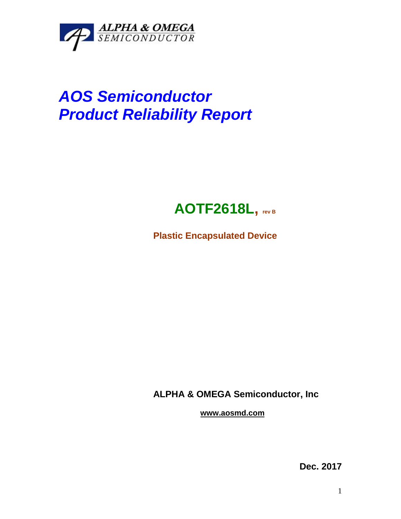

## *AOS Semiconductor Product Reliability Report*



**Plastic Encapsulated Device**

**ALPHA & OMEGA Semiconductor, Inc**

**www.aosmd.com**

**Dec. 2017**